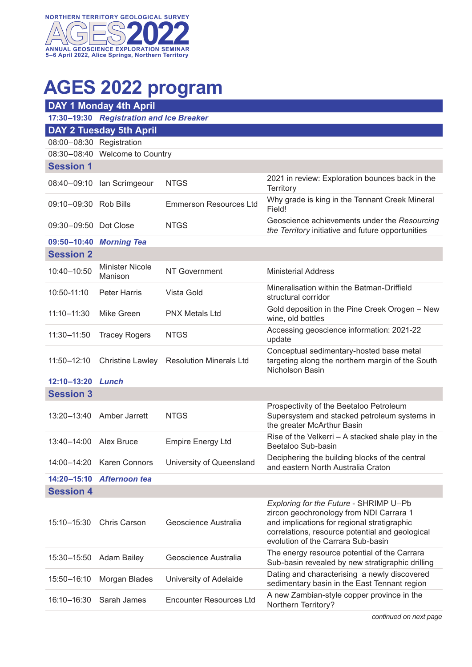

## **AGES 2022 program**

| <b>DAY 1 Monday 4th April</b>  |                                          |                                |                                                                                                                                                                                                                           |  |  |
|--------------------------------|------------------------------------------|--------------------------------|---------------------------------------------------------------------------------------------------------------------------------------------------------------------------------------------------------------------------|--|--|
|                                | 17:30-19:30 Registration and Ice Breaker |                                |                                                                                                                                                                                                                           |  |  |
| <b>DAY 2 Tuesday 5th April</b> |                                          |                                |                                                                                                                                                                                                                           |  |  |
| 08:00-08:30 Registration       |                                          |                                |                                                                                                                                                                                                                           |  |  |
|                                | 08:30-08:40 Welcome to Country           |                                |                                                                                                                                                                                                                           |  |  |
| <b>Session 1</b>               |                                          |                                |                                                                                                                                                                                                                           |  |  |
|                                | 08:40-09:10 Ian Scrimgeour               | <b>NTGS</b>                    | 2021 in review: Exploration bounces back in the<br>Territory                                                                                                                                                              |  |  |
| 09:10-09:30 Rob Bills          |                                          | <b>Emmerson Resources Ltd</b>  | Why grade is king in the Tennant Creek Mineral<br>Field!                                                                                                                                                                  |  |  |
| 09:30-09:50 Dot Close          |                                          | <b>NTGS</b>                    | Geoscience achievements under the Resourcing<br>the Territory initiative and future opportunities                                                                                                                         |  |  |
|                                | 09:50-10:40 Morning Tea                  |                                |                                                                                                                                                                                                                           |  |  |
| <b>Session 2</b>               |                                          |                                |                                                                                                                                                                                                                           |  |  |
| 10:40-10:50                    | <b>Minister Nicole</b><br>Manison        | NT Government                  | <b>Ministerial Address</b>                                                                                                                                                                                                |  |  |
| 10:50-11:10                    | <b>Peter Harris</b>                      | Vista Gold                     | Mineralisation within the Batman-Driffield<br>structural corridor                                                                                                                                                         |  |  |
| $11:10 - 11:30$                | Mike Green                               | <b>PNX Metals Ltd</b>          | Gold deposition in the Pine Creek Orogen - New<br>wine, old bottles                                                                                                                                                       |  |  |
| 11:30-11:50                    | <b>Tracey Rogers</b>                     | <b>NTGS</b>                    | Accessing geoscience information: 2021-22<br>update                                                                                                                                                                       |  |  |
| 11:50-12:10                    | <b>Christine Lawley</b>                  | <b>Resolution Minerals Ltd</b> | Conceptual sedimentary-hosted base metal<br>targeting along the northern margin of the South<br>Nicholson Basin                                                                                                           |  |  |
| 12:10-13:20                    | Lunch                                    |                                |                                                                                                                                                                                                                           |  |  |
| <b>Session 3</b>               |                                          |                                |                                                                                                                                                                                                                           |  |  |
| 13:20-13:40                    | Amber Jarrett                            | <b>NTGS</b>                    | Prospectivity of the Beetaloo Petroleum<br>Supersystem and stacked petroleum systems in<br>the greater McArthur Basin                                                                                                     |  |  |
| 13:40-14:00                    | Alex Bruce                               | <b>Empire Energy Ltd</b>       | Rise of the Velkerri - A stacked shale play in the<br>Beetaloo Sub-basin                                                                                                                                                  |  |  |
| 14:00-14:20                    | <b>Karen Connors</b>                     | University of Queensland       | Deciphering the building blocks of the central<br>and eastern North Australia Craton                                                                                                                                      |  |  |
| 14:20-15:10                    | Afternoon tea                            |                                |                                                                                                                                                                                                                           |  |  |
| <b>Session 4</b>               |                                          |                                |                                                                                                                                                                                                                           |  |  |
| 15:10-15:30                    | <b>Chris Carson</b>                      | Geoscience Australia           | Exploring for the Future - SHRIMP U-Pb<br>zircon geochronology from NDI Carrara 1<br>and implications for regional stratigraphic<br>correlations, resource potential and geological<br>evolution of the Carrara Sub-basin |  |  |
| 15:30-15:50                    | <b>Adam Bailey</b>                       | Geoscience Australia           | The energy resource potential of the Carrara<br>Sub-basin revealed by new stratigraphic drilling                                                                                                                          |  |  |
| 15:50-16:10                    | Morgan Blades                            | University of Adelaide         | Dating and characterising a newly discovered<br>sedimentary basin in the East Tennant region                                                                                                                              |  |  |
| 16:10-16:30                    | Sarah James                              | <b>Encounter Resources Ltd</b> | A new Zambian-style copper province in the<br>Northern Territory?                                                                                                                                                         |  |  |

*continued on next page*